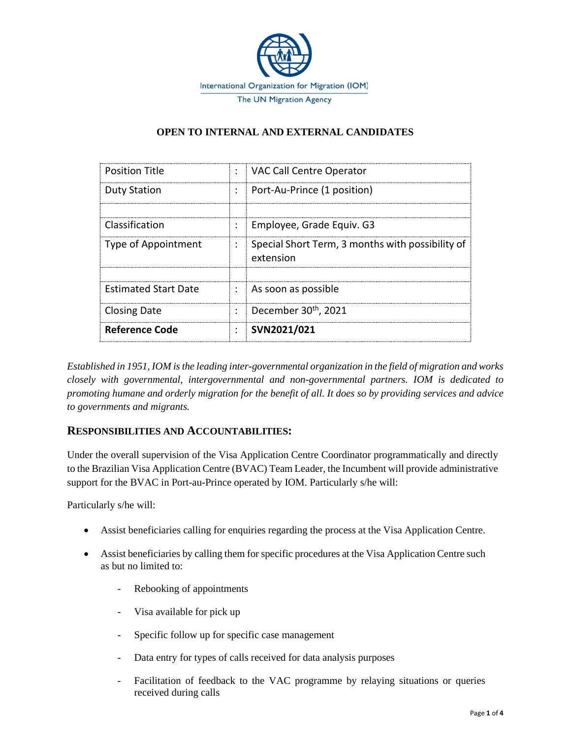

### **OPEN TO INTERNAL AND EXTERNAL CANDIDATES**

| <b>Position Title</b>       |                      | VAC Call Centre Operator                                      |
|-----------------------------|----------------------|---------------------------------------------------------------|
| <b>Duty Station</b>         |                      | Port-Au-Prince (1 position)                                   |
|                             |                      |                                                               |
| Classification              |                      | <b>Employee, Grade Equiv. G3</b>                              |
| <b>Type of Appointment</b>  | ÷                    | Special Short Term, 3 months with possibility of<br>extension |
|                             |                      |                                                               |
| <b>Estimated Start Date</b> | $\ddot{\phantom{a}}$ | As soon as possible                                           |
| <b>Closing Date</b>         | ÷                    | December 30 <sup>th</sup> , 2021                              |
| Reference Code              |                      | SVN2021/021                                                   |

*Established in 1951, IOM is the leading inter-governmental organization in the field of migration and works closely with governmental, intergovernmental and non-governmental partners. IOM is dedicated to promoting humane and orderly migration for the benefit of all. It does so by providing services and advice to governments and migrants.*

# **RESPONSIBILITIES AND ACCOUNTABILITIES:**

Under the overall supervision of the Visa Application Centre Coordinator programmatically and directly to the Brazilian Visa Application Centre (BVAC) Team Leader, the Incumbent will provide administrative support for the BVAC in Port-au-Prince operated by IOM. Particularly s/he will:

Particularly s/he will:

- Assist beneficiaries calling for enquiries regarding the process at the Visa Application Centre.
- Assist beneficiaries by calling them for specific procedures at the Visa Application Centre such as but no limited to:
	- Rebooking of appointments
	- Visa available for pick up
	- Specific follow up for specific case management
	- Data entry for types of calls received for data analysis purposes
	- Facilitation of feedback to the VAC programme by relaying situations or queries received during calls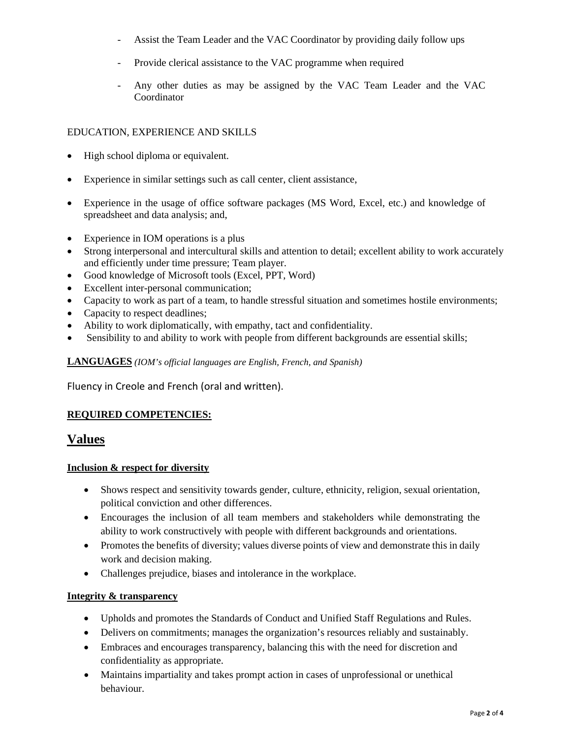- Assist the Team Leader and the VAC Coordinator by providing daily follow ups
- Provide clerical assistance to the VAC programme when required
- Any other duties as may be assigned by the VAC Team Leader and the VAC Coordinator

#### EDUCATION, EXPERIENCE AND SKILLS

- High school diploma or equivalent.
- Experience in similar settings such as call center, client assistance,
- Experience in the usage of office software packages (MS Word, Excel, etc.) and knowledge of spreadsheet and data analysis; and,
- Experience in IOM operations is a plus
- Strong interpersonal and intercultural skills and attention to detail; excellent ability to work accurately and efficiently under time pressure; Team player.
- Good knowledge of Microsoft tools (Excel, PPT, Word)
- Excellent inter-personal communication;
- Capacity to work as part of a team, to handle stressful situation and sometimes hostile environments;
- Capacity to respect deadlines;
- Ability to work diplomatically, with empathy, tact and confidentiality.
- Sensibility to and ability to work with people from different backgrounds are essential skills;

#### **LANGUAGES** *(IOM's official languages are English, French, and Spanish)*

Fluency in Creole and French (oral and written).

#### **REQUIRED COMPETENCIES:**

# **Values**

#### **Inclusion & respect for diversity**

- Shows respect and sensitivity towards gender, culture, ethnicity, religion, sexual orientation, political conviction and other differences.
- Encourages the inclusion of all team members and stakeholders while demonstrating the ability to work constructively with people with different backgrounds and orientations.
- Promotes the benefits of diversity; values diverse points of view and demonstrate this in daily work and decision making.
- Challenges prejudice, biases and intolerance in the workplace.

#### **Integrity & transparency**

- Upholds and promotes the Standards of Conduct and Unified Staff Regulations and Rules.
- Delivers on commitments; manages the organization's resources reliably and sustainably.
- Embraces and encourages transparency, balancing this with the need for discretion and confidentiality as appropriate.
- Maintains impartiality and takes prompt action in cases of unprofessional or unethical behaviour.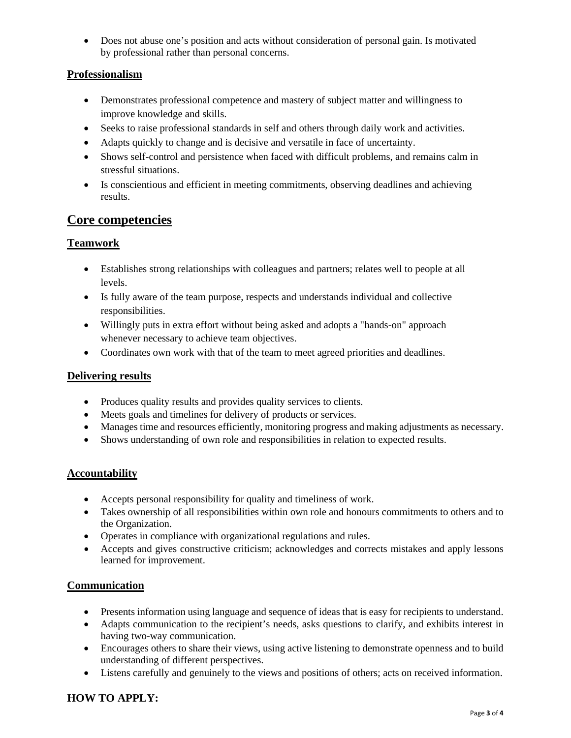• Does not abuse one's position and acts without consideration of personal gain. Is motivated by professional rather than personal concerns.

### **Professionalism**

- Demonstrates professional competence and mastery of subject matter and willingness to improve knowledge and skills.
- Seeks to raise professional standards in self and others through daily work and activities.
- Adapts quickly to change and is decisive and versatile in face of uncertainty.
- Shows self-control and persistence when faced with difficult problems, and remains calm in stressful situations.
- Is conscientious and efficient in meeting commitments, observing deadlines and achieving results.

# **Core competencies**

### **Teamwork**

- Establishes strong relationships with colleagues and partners; relates well to people at all levels.
- Is fully aware of the team purpose, respects and understands individual and collective responsibilities.
- Willingly puts in extra effort without being asked and adopts a "hands-on" approach whenever necessary to achieve team objectives.
- Coordinates own work with that of the team to meet agreed priorities and deadlines.

# **Delivering results**

- Produces quality results and provides quality services to clients.
- Meets goals and timelines for delivery of products or services.
- Manages time and resources efficiently, monitoring progress and making adjustments as necessary.
- Shows understanding of own role and responsibilities in relation to expected results.

### **Accountability**

- Accepts personal responsibility for quality and timeliness of work.
- Takes ownership of all responsibilities within own role and honours commitments to others and to the Organization.
- Operates in compliance with organizational regulations and rules.
- Accepts and gives constructive criticism; acknowledges and corrects mistakes and apply lessons learned for improvement.

### **Communication**

- Presents information using language and sequence of ideas that is easy for recipients to understand.
- Adapts communication to the recipient's needs, asks questions to clarify, and exhibits interest in having two-way communication.
- Encourages others to share their views, using active listening to demonstrate openness and to build understanding of different perspectives.
- Listens carefully and genuinely to the views and positions of others; acts on received information.

### **HOW TO APPLY:**